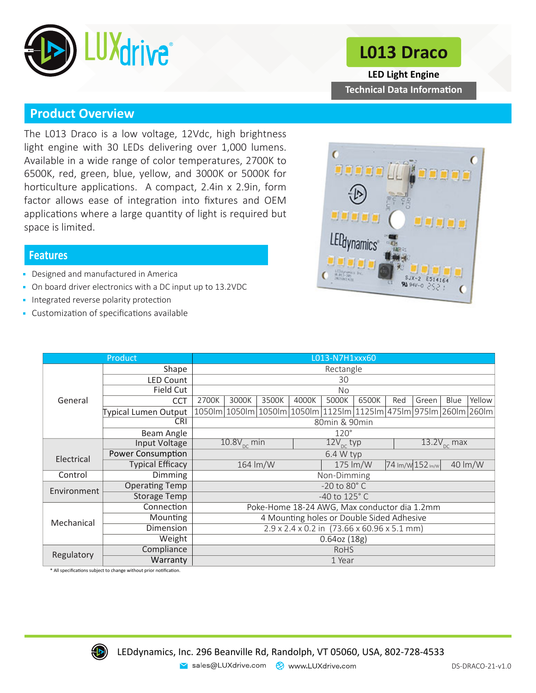

# **L013 Draco**

**Technical Data Information LED Light Engine**

### **Product Overview**

The L013 Draco is a low voltage, 12Vdc, high brightness light engine with 30 LEDs delivering over 1,000 lumens. Available in a wide range of color temperatures, 2700K to 6500K, red, green, blue, yellow, and 3000K or 5000K for horticulture applications. A compact, 2.4in x 2.9in, form factor allows ease of integration into fixtures and OEM applications where a large quantity of light is required but space is limited.

#### **Features**

- Designed and manufactured in America
- On board driver electronics with a DC input up to 13.2VDC
- Integrated reverse polarity protection
- Customization of specifications available



|             | L013-N7H1xxx60           |                                              |             |                      |       |                       |                                              |                  |                         |      |         |
|-------------|--------------------------|----------------------------------------------|-------------|----------------------|-------|-----------------------|----------------------------------------------|------------------|-------------------------|------|---------|
|             | Shape                    | Rectangle                                    |             |                      |       |                       |                                              |                  |                         |      |         |
| General     | <b>LED Count</b>         | 30                                           |             |                      |       |                       |                                              |                  |                         |      |         |
|             | Field Cut                | <b>No</b>                                    |             |                      |       |                       |                                              |                  |                         |      |         |
|             | <b>CCT</b>               | 2700K                                        | 3000K       | 3500K                | 4000K | 5000K                 | 6500K                                        | Red              | Green                   | Blue | Yellow  |
|             | Typical Lumen Output     |                                              |             | 1050lm 1050lm 1050lm |       |                       | 1050lm 1125lm 1125lm 475lm 975lm 260lm 260lm |                  |                         |      |         |
|             | <b>CRI</b>               | 80min & 90min                                |             |                      |       |                       |                                              |                  |                         |      |         |
|             | Beam Angle               |                                              | $120^\circ$ |                      |       |                       |                                              |                  |                         |      |         |
|             | Input Voltage            | $10.8V_{\text{pc}}$ min                      |             |                      |       | $12V_{\text{nc}}$ typ |                                              |                  | $13.2V_{\text{DC}}$ max |      |         |
| Electrical  | <b>Power Consumption</b> | $6.4 W$ typ                                  |             |                      |       |                       |                                              |                  |                         |      |         |
|             | <b>Typical Efficacy</b>  | 164 lm/W                                     |             |                      |       |                       | 175 lm/W                                     | 74 Im/W 152 Im/w |                         |      | 40 lm/W |
| Control     | Dimming                  | Non-Dimming                                  |             |                      |       |                       |                                              |                  |                         |      |         |
| Environment | <b>Operating Temp</b>    | $-20$ to $80^\circ$ C                        |             |                      |       |                       |                                              |                  |                         |      |         |
|             | <b>Storage Temp</b>      | $-40$ to $125^\circ$ C                       |             |                      |       |                       |                                              |                  |                         |      |         |
| Mechanical  | Connection               | Poke-Home 18-24 AWG, Max conductor dia 1.2mm |             |                      |       |                       |                                              |                  |                         |      |         |
|             | Mounting                 | 4 Mounting holes or Double Sided Adhesive    |             |                      |       |                       |                                              |                  |                         |      |         |
|             | Dimension                | 2.9 x 2.4 x 0.2 in (73.66 x 60.96 x 5.1 mm)  |             |                      |       |                       |                                              |                  |                         |      |         |
|             | Weight                   | 0.64oz(18g)                                  |             |                      |       |                       |                                              |                  |                         |      |         |
| Regulatory  | Compliance               | <b>RoHS</b>                                  |             |                      |       |                       |                                              |                  |                         |      |         |
|             | Warranty                 | 1 Year                                       |             |                      |       |                       |                                              |                  |                         |      |         |

\* All specifications subject to change without prior notification.